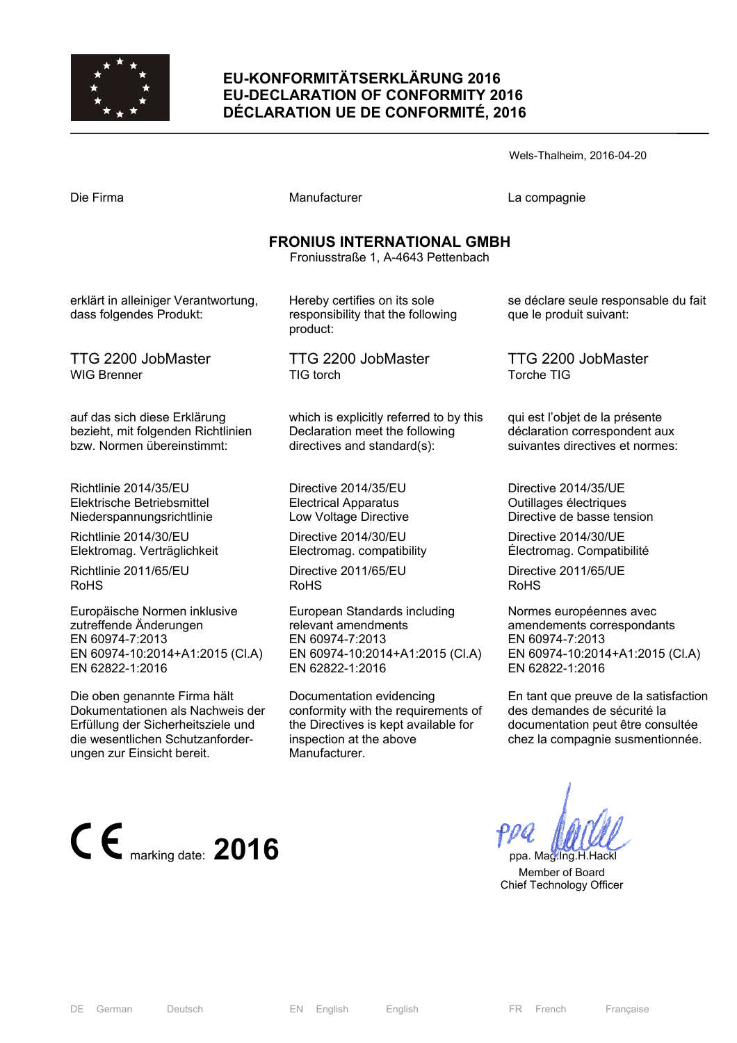

## **EU-KONFORMITÄTSERKLÄRUNG 2016 EU-DECLARATION OF CONFORMITY 2016 DÉCLARATION UE DE CONFORMITÉ, 2016**

Wels-Thalheim, 2016-04-20 Die Firma and Compagnie Manufacturer Company La compagnie **FRONIUS INTERNATIONAL GMBH**  Froniusstraße 1, A-4643 Pettenbach Hereby certifies on its sole responsibility that the following product: TTG 2200 JobMaster TIG torch which is explicitly referred to by this Declaration meet the following directives and standard(s): Directive 2014/35/EU Electrical Apparatus Low Voltage Directive Directive 2014/30/EU Electromag. compatibility Directive 2011/65/EU RoHS se déclare seule responsable du fait que le produit suivant: TTG 2200 JobMaster Torche TIG qui est l'objet de la présente déclaration correspondent aux suivantes directives et normes: Directive 2014/35/UE Outillages électriques Directive de basse tension Directive 2014/30/UE Électromag. Compatibilité Directive 2011/65/UE RoHS

European Standards including

Documentation evidencing

inspection at the above

EN 60974-10:2014+A1:2015 (Cl.A)

conformity with the requirements of the Directives is kept available for

relevant amendments EN 60974-7:2013

EN 62822-1:2016

Manufacturer.

Normes européennes avec amendements correspondants EN 60974-7:2013 EN 60974-10:2014+A1:2015 (Cl.A) EN 62822-1:2016

En tant que preuve de la satisfaction des demandes de sécurité la documentation peut être consultée chez la compagnie susmentionnée.

 Member of Board Chief Technology Officer

erklärt in alleiniger Verantwortung, dass folgendes Produkt:

TTG 2200 JobMaster WIG Brenner

auf das sich diese Erklärung bezieht, mit folgenden Richtlinien bzw. Normen übereinstimmt:

Richtlinie 2014/35/EU Elektrische Betriebsmittel Niederspannungsrichtlinie

Richtlinie 2014/30/EU Elektromag. Verträglichkeit

Richtlinie 2011/65/EU RoHS

Europäische Normen inklusive zutreffende Änderungen EN 60974-7:2013 EN 60974-10:2014+A1:2015 (Cl.A) EN 62822-1:2016

Die oben genannte Firma hält Dokumentationen als Nachweis der Erfüllung der Sicherheitsziele und die wesentlichen Schutzanforderungen zur Einsicht bereit.

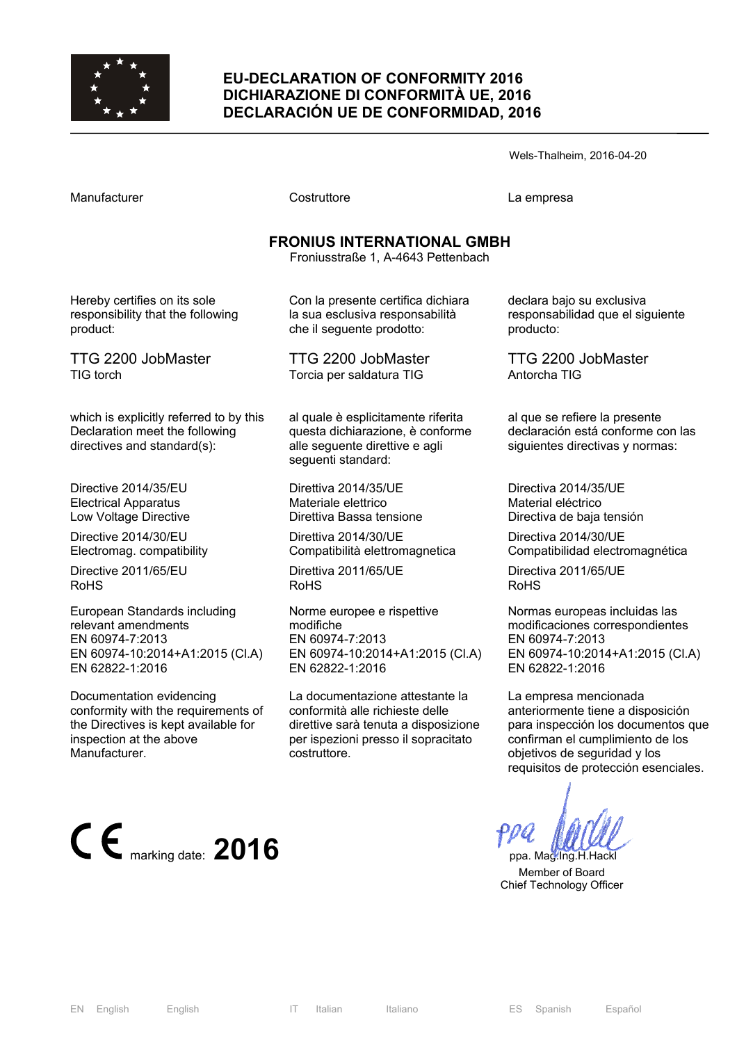

### **EU-DECLARATION OF CONFORMITY 2016 DICHIARAZIONE DI CONFORMITÀ UE, 2016 DECLARACIÓN UE DE CONFORMIDAD, 2016**

Wels-Thalheim, 2016-04-20

Manufacturer Costruttore La empresa

# **FRONIUS INTERNATIONAL GMBH**

Froniusstraße 1, A-4643 Pettenbach

Hereby certifies on its sole responsibility that the following product:

TTG 2200 JobMaster TIG torch

which is explicitly referred to by this Declaration meet the following directives and standard(s):

Directive 2014/35/EU Electrical Apparatus Low Voltage Directive

Directive 2014/30/EU Electromag. compatibility

Directive 2011/65/EU RoHS

European Standards including relevant amendments EN 60974-7:2013 EN 60974-10:2014+A1:2015 (Cl.A) EN 62822-1:2016

Documentation evidencing conformity with the requirements of the Directives is kept available for inspection at the above Manufacturer.



Con la presente certifica dichiara la sua esclusiva responsabilità che il seguente prodotto:

TTG 2200 JobMaster Torcia per saldatura TIG

al quale è esplicitamente riferita questa dichiarazione, è conforme alle seguente direttive e agli seguenti standard:

Direttiva 2014/35/UE Materiale elettrico Direttiva Bassa tensione

Direttiva 2014/30/UE Compatibilità elettromagnetica

Direttiva 2011/65/UE RoHS

Norme europee e rispettive modifiche EN 60974-7:2013 EN 60974-10:2014+A1:2015 (Cl.A) EN 62822-1:2016

La documentazione attestante la conformità alle richieste delle direttive sarà tenuta a disposizione per ispezioni presso il sopracitato costruttore.

declara bajo su exclusiva responsabilidad que el siguiente producto:

TTG 2200 JobMaster Antorcha TIG

al que se refiere la presente declaración está conforme con las siguientes directivas y normas:

Directiva 2014/35/UE Material eléctrico Directiva de baja tensión

Directiva 2014/30/UE Compatibilidad electromagnética

Directiva 2011/65/UE RoHS

Normas europeas incluidas las modificaciones correspondientes EN 60974-7:2013 EN 60974-10:2014+A1:2015 (Cl.A) EN 62822-1:2016

La empresa mencionada anteriormente tiene a disposición para inspección los documentos que confirman el cumplimiento de los objetivos de seguridad y los requisitos de protección esenciales.

 Member of Board Chief Technology Officer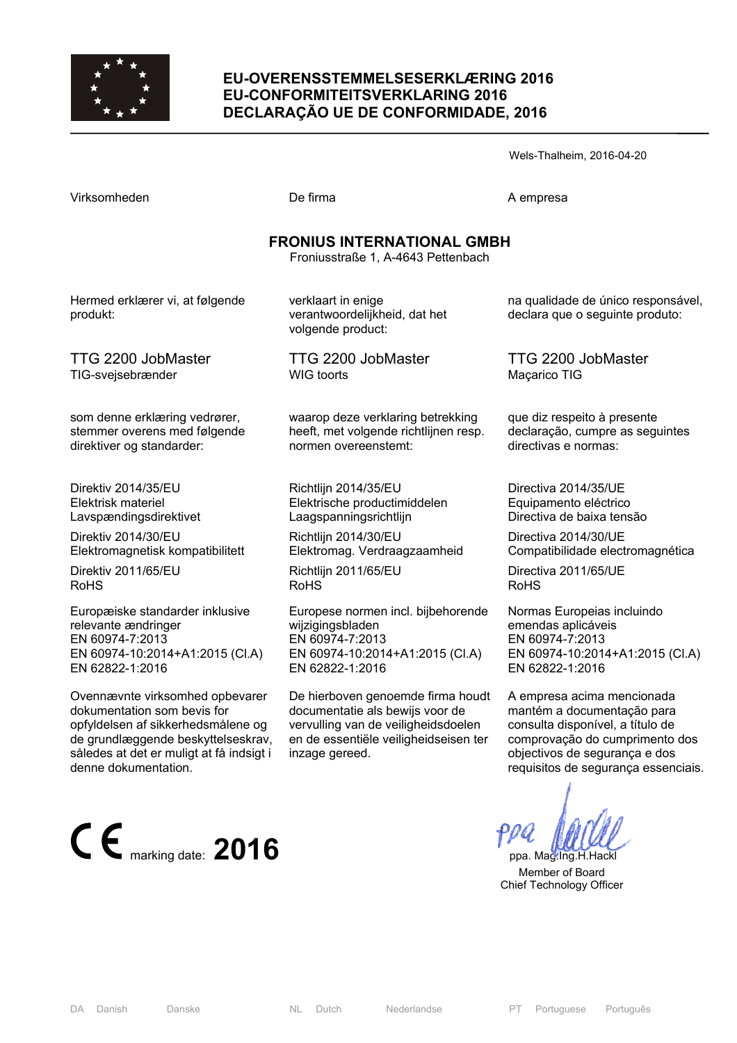

### **EU-OVERENSSTEMMELSESERKLÆRING 2016 EU-CONFORMITEITSVERKLARING 2016 DECLARAÇÃO UE DE CONFORMIDADE, 2016**

Virksomheden De firma De firma A empresa

Wels-Thalheim, 2016-04-20

| <b>FRONIUS INTERNATIONAL GMBH</b><br>Froniusstraße 1, A-4643 Pettenbach |                                                                          |                                                                       |  |
|-------------------------------------------------------------------------|--------------------------------------------------------------------------|-----------------------------------------------------------------------|--|
| Hermed erklærer vi, at følgende<br>produkt:                             | verklaart in enige<br>verantwoordelijkheid, dat het<br>volgende product: | na qualidade de único responsável,<br>declara que o seguinte produto: |  |
| TTG 2200 JobMaster                                                      | TTG 2200 JobMaster                                                       | TTG 2200 JobMaster                                                    |  |
| TIG-svejsebrænder                                                       | <b>WIG</b> toorts                                                        | Maçarico TIG                                                          |  |
| som denne erklæring vedrører,                                           | waarop deze verklaring betrekking                                        | que diz respeito à presente                                           |  |
| stemmer overens med følgende                                            | heeft, met volgende richtlijnen resp.                                    | declaração, cumpre as seguintes                                       |  |
| direktiver og standarder:                                               | normen overeenstemt:                                                     | directivas e normas:                                                  |  |
| Direktiv 2014/35/EU                                                     | Richtlijn 2014/35/EU                                                     | Directiva 2014/35/UE                                                  |  |
| Elektrisk materiel                                                      | Elektrische productimiddelen                                             | Equipamento eléctrico                                                 |  |
| Lavspændingsdirektivet                                                  | Laagspanningsrichtlijn                                                   | Directiva de baixa tensão                                             |  |
| Direktiv 2014/30/EU                                                     | Richtlijn 2014/30/EU                                                     | Directiva 2014/30/UE                                                  |  |
| Elektromagnetisk kompatibilitett                                        | Elektromag. Verdraagzaamheid                                             | Compatibilidade electromagnética                                      |  |
| Direktiv 2011/65/EU                                                     | Richtlijn 2011/65/EU                                                     | Directiva 2011/65/UE                                                  |  |
| <b>RoHS</b>                                                             | <b>RoHS</b>                                                              | <b>RoHS</b>                                                           |  |
| Europæiske standarder inklusive                                         | Europese normen incl. bijbehorende                                       | Normas Europeias incluindo                                            |  |
| relevante ændringer                                                     | wijzigingsbladen                                                         | emendas aplicáveis                                                    |  |
| EN 60974-7:2013                                                         | EN 60974-7:2013                                                          | EN 60974-7:2013                                                       |  |
| EN 60974-10:2014+A1:2015 (CI.A)                                         | EN 60974-10:2014+A1:2015 (Cl.A)                                          | EN 60974-10:2014+A1:2015 (CI.A)                                       |  |
| EN 62822-1:2016                                                         | EN 62822-1:2016                                                          | EN 62822-1:2016                                                       |  |
| Ovennævnte virksomhed opbevarer                                         | De hierboven genoemde firma houdt                                        | A empresa acima mencionada                                            |  |
| dokumentation som bevis for                                             | documentatie als bewijs voor de                                          | mantém a documentação para                                            |  |
| opfyldelsen af sikkerhedsmålene og                                      | vervulling van de veiligheidsdoelen                                      | consulta disponível, a título de                                      |  |
| de grundlæggende beskyttelseskrav,                                      | en de essentiële veiligheidseisen ter                                    | comprovação do cumprimento dos                                        |  |

opfylde de grundlæggende beskyttelseskrav, en de essentiële veiligheidseisen ter således at det er muligt at få indsigt i inzage gereed. denne dokumentation.



objectivos de segurança e dos requisitos de segurança essenciais.

 Member of Board Chief Technology Officer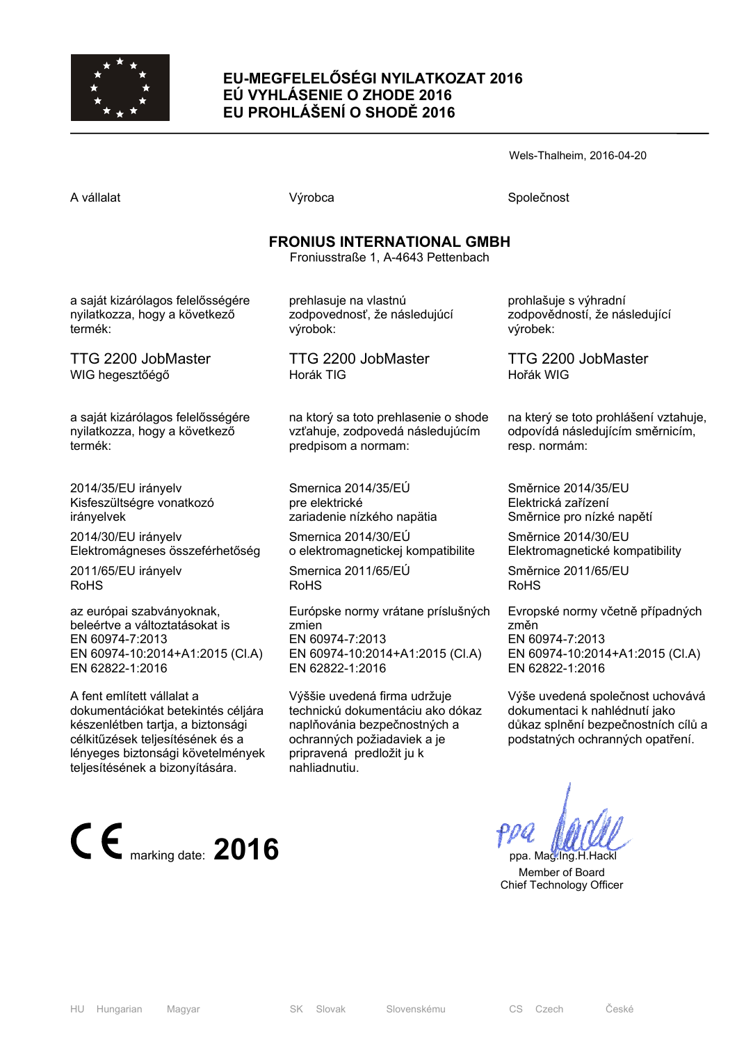

## **EU-MEGFELELŐSÉGI NYILATKOZAT 2016 EÚ VYHLÁSENIE O ZHODE 2016 EU PROHLÁŠENÍ O SHODĚ 2016**

Wels-Thalheim, 2016-04-20

A vállalat Společnost Národová výrobca Na vállalat Společnost Společnost Společnost Společnost Společnost Společnost

## **FRONIUS INTERNATIONAL GMBH**

Froniusstraße 1, A-4643 Pettenbach

a saját kizárólagos felelősségére nyilatkozza, hogy a következő termék:

TTG 2200 JobMaster WIG hegesztőégő

a saját kizárólagos felelősségére nyilatkozza, hogy a következő termék:

2014/35/EU irányelv Kisfeszültségre vonatkozó irányelvek

2014/30/EU irányelv Elektromágneses összeférhetőség

2011/65/EU irányelv RoHS

az európai szabványoknak, beleértve a változtatásokat is EN 60974-7:2013 EN 60974-10:2014+A1:2015 (Cl.A) EN 62822-1:2016

A fent említett vállalat a dokumentációkat betekintés céljára készenlétben tartja, a biztonsági célkitűzések teljesítésének és a lényeges biztonsági követelmények teljesítésének a bizonyítására.



prehlasuje na vlastnú zodpovednosť, že následujúcí výrobok:

TTG 2200 JobMaster Horák TIG

na ktorý sa toto prehlasenie o shode vzťahuje, zodpovedá následujúcím predpisom a normam:

Smernica 2014/35/EÚ pre elektrické zariadenie nízkého napätia

Smernica 2014/30/EÚ o elektromagnetickej kompatibilite

Smernica 2011/65/EÚ RoHS

Európske normy vrátane príslušných zmien EN 60974-7:2013 EN 60974-10:2014+A1:2015 (Cl.A) EN 62822-1:2016

Výššie uvedená firma udržuje technickú dokumentáciu ako dókaz naplňovánia bezpečnostných a ochranných požiadaviek a je pripravená predložit ju k nahliadnutiu.

prohlašuje s výhradní zodpovědností, že následující výrobek:

TTG 2200 JobMaster Hořák WIG

na který se toto prohlášení vztahuje, odpovídá následujícím směrnicím, resp. normám:

Směrnice 2014/35/EU Elektrická zařízení Směrnice pro nízké napětí

Směrnice 2014/30/EU Elektromagnetické kompatibility

Směrnice 2011/65/EU RoHS

Evropské normy včetně případných změn EN 60974-7:2013 EN 60974-10:2014+A1:2015 (Cl.A) EN 62822-1:2016

Výše uvedená společnost uchovává dokumentaci k nahlédnutí jako důkaz splnění bezpečnostních cílů a podstatných ochranných opatření.

 Member of Board Chief Technology Officer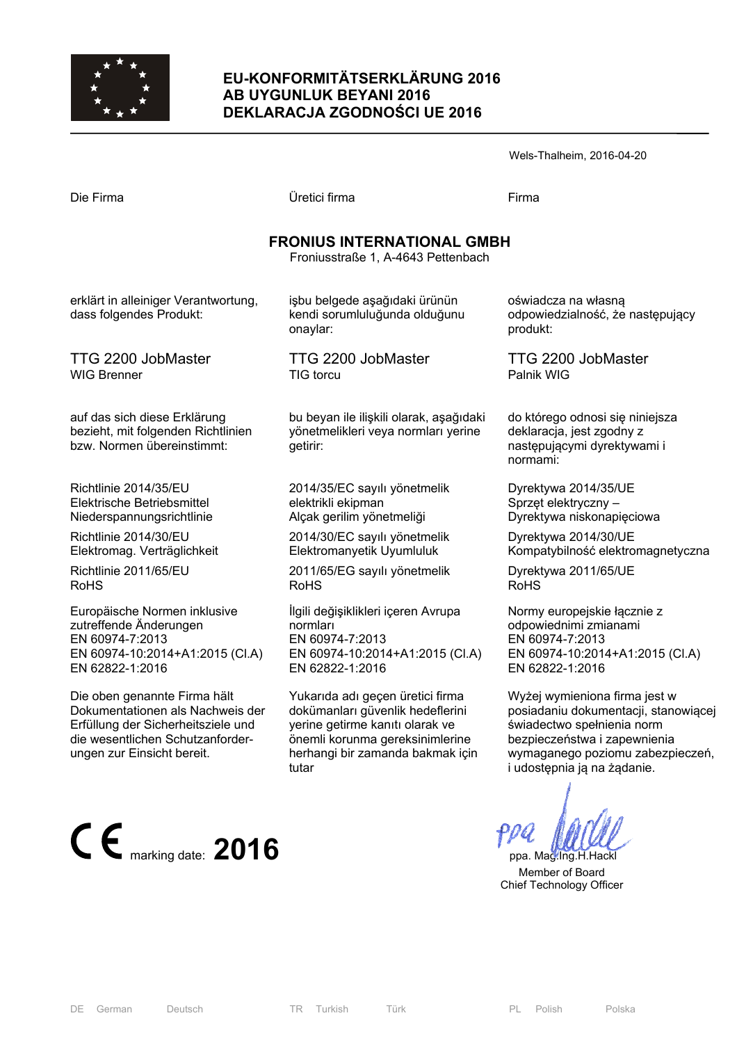

### **EU-KONFORMITÄTSERKLÄRUNG 2016 AB UYGUNLUK BEYANI 2016 DEKLARACJA ZGODNOŚCI UE 2016**

Wels-Thalheim, 2016-04-20 Die Firma Üretici firma Firma **FRONIUS INTERNATIONAL GMBH**  Froniusstraße 1, A-4643 Pettenbach işbu belgede aşağıdaki ürünün kendi sorumluluğunda olduğunu onaylar: oświadcza na własną produkt:

> TTG 2200 JobMaster TIG torcu

bu beyan ile ilişkili olarak, aşağıdaki yönetmelikleri veya normları yerine getirir:

2014/35/EC sayılı yönetmelik elektrikli ekipman Alçak gerilim yönetmeliği

2014/30/EC sayılı yönetmelik Elektromanyetik Uyumluluk

2011/65/EG sayılı yönetmelik RoHS

İlgili değişiklikleri içeren Avrupa normları EN 60974-7:2013 EN 60974-10:2014+A1:2015 (Cl.A) EN 62822-1:2016

Yukarıda adı geçen üretici firma dokümanları güvenlik hedeflerini yerine getirme kanıtı olarak ve önemli korunma gereksinimlerine herhangi bir zamanda bakmak için tutar

odpowiedzialność, że następujący

TTG 2200 JobMaster Palnik WIG

do którego odnosi się niniejsza deklaracja, jest zgodny z następującymi dyrektywami i normami:

Dyrektywa 2014/35/UE Sprzęt elektryczny – Dyrektywa niskonapięciowa

Dyrektywa 2014/30/UE Kompatybilność elektromagnetyczna

Dyrektywa 2011/65/UE RoHS

Normy europejskie łącznie z odpowiednimi zmianami EN 60974-7:2013 EN 60974-10:2014+A1:2015 (Cl.A) EN 62822-1:2016

Wyżej wymieniona firma jest w posiadaniu dokumentacji, stanowiącej świadectwo spełnienia norm bezpieczeństwa i zapewnienia wymaganego poziomu zabezpieczeń, i udostępnia ją na żądanie.

 Member of Board Chief Technology Officer

erklärt in alleiniger Verantwortung, dass folgendes Produkt:

TTG 2200 JobMaster WIG Brenner

auf das sich diese Erklärung bezieht, mit folgenden Richtlinien bzw. Normen übereinstimmt:

Richtlinie 2014/35/EU Elektrische Betriebsmittel Niederspannungsrichtlinie

Richtlinie 2014/30/EU Elektromag. Verträglichkeit

Richtlinie 2011/65/EU RoHS

Europäische Normen inklusive zutreffende Änderungen EN 60974-7:2013 EN 60974-10:2014+A1:2015 (Cl.A) EN 62822-1:2016

Die oben genannte Firma hält Dokumentationen als Nachweis der Erfüllung der Sicherheitsziele und die wesentlichen Schutzanforderungen zur Einsicht bereit.